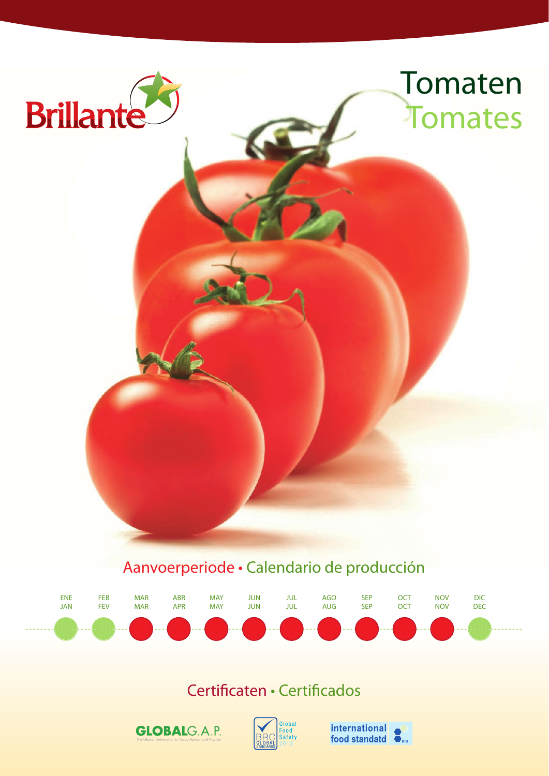

### Aanvoerperiode • Calendario de producción



### Certificaten • Certificados





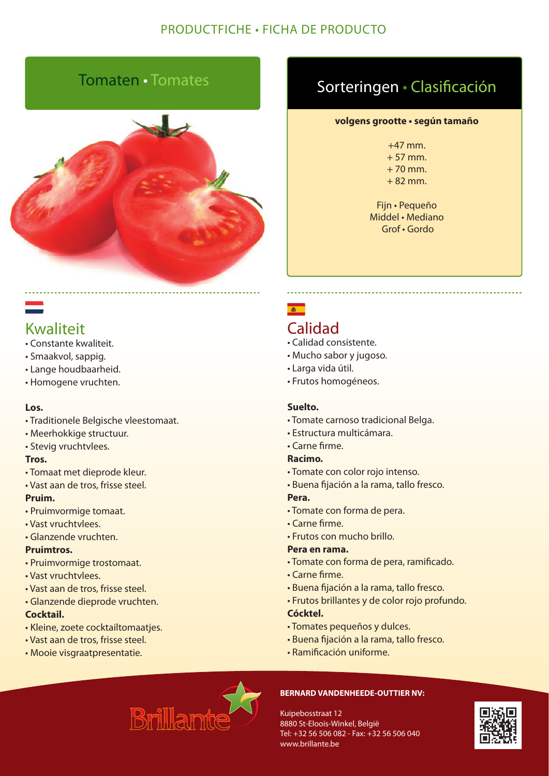### Tomaten • Tomates



### Kwaliteit

- Constante kwaliteit.
- Smaakvol, sappig.
- Lange houdbaarheid.
- Homogene vruchten.

### **Los.**

- Traditionele Belgische vleestomaat.
- Meerhokkige structuur.
- Stevig vruchtvlees.

### **Tros.**

- Tomaat met dieprode kleur.
- Vast aan de tros, frisse steel.

### **Pruim.**

- Pruimvormige tomaat.
- Vast vruchtvlees.
- Glanzende vruchten.

### **Pruimtros.**

- Pruimvormige trostomaat.
- Vast vruchtvlees.
- Vast aan de tros, frisse steel.
- Glanzende dieprode vruchten.

### **Cocktail.**

- Kleine, zoete cocktailtomaatjes.
- Vast aan de tros, frisse steel.
- Mooie visgraatpresentatie.

## Sorteringen • Clasificación

#### **volgens grootte • según tamaño**

+47 mm.  $+ 57$  mm.  $+70$  mm.  $+ 82$  mm.

Fijn • Pequeño Middel • Mediano Grof • Gordo

# $\frac{1}{100}$

### Calidad

- Calidad consistente.
- Mucho sabor y jugoso.
- Larga vida útil.
- Frutos homogéneos.

### **Suelto.**

- Tomate carnoso tradicional Belga.
- Estructura multicámara.
- Carne firme.

### **Racimo.**

- Tomate con color rojo intenso.
- Buena fijación a la rama, tallo fresco.

### **Pera.**

- Tomate con forma de pera.
- Carne firme.
- Frutos con mucho brillo.

#### **Pera en rama.**

- Tomate con forma de pera, ramificado.
- Carne firme.
- Buena fijación a la rama, tallo fresco.
- Frutos brillantes y de color rojo profundo.

### **Cócktel.**

- Tomates pequeños y dulces.
- Buena fijación a la rama, tallo fresco.
- Ramificación uniforme.



#### **BERNARD VANDENHEEDE-OUTTIER NV:**

Kuipebosstraat 12 8880 St-Eloois-Winkel, België Tel: +32 56 506 082 - Fax: +32 56 506 040 www.brillante.be

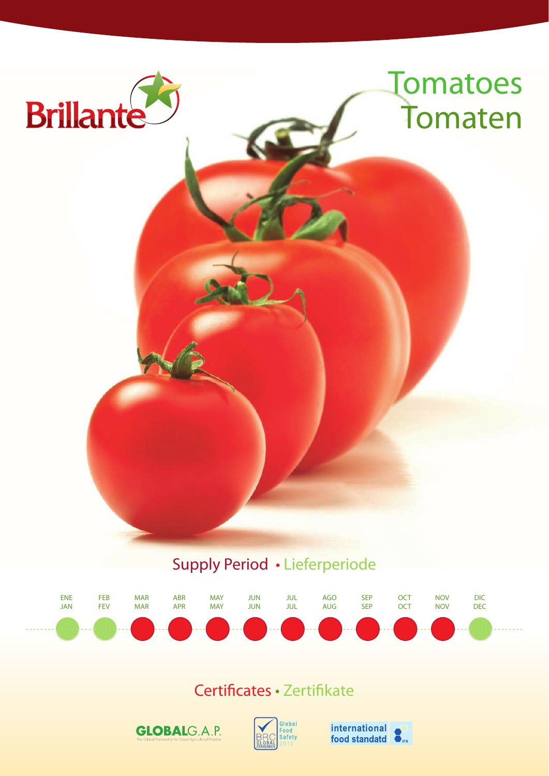

### Supply Period • Lieferperiode



### Certificates • Zertifikate